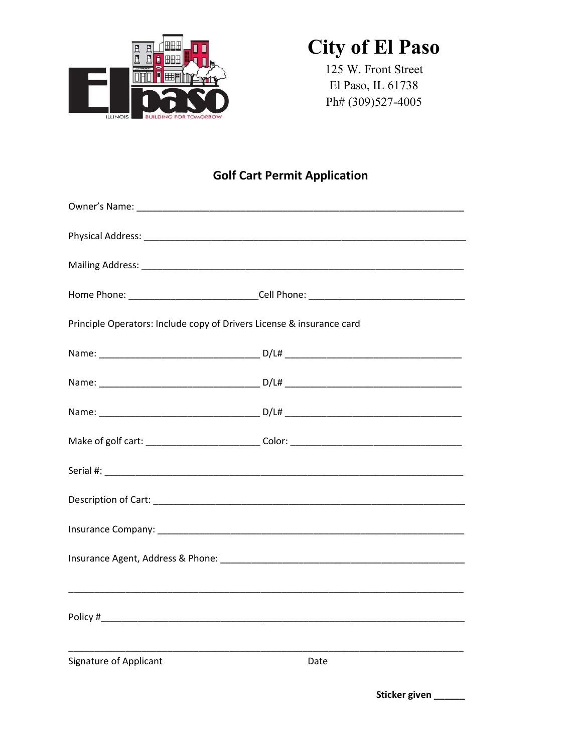

### **City of El Paso**

125 W. Front Street El Paso, IL 61738 Ph# (309)527-4005

### **Golf Cart Permit Application**

| Principle Operators: Include copy of Drivers License & insurance card                                                 |                                                         |  |
|-----------------------------------------------------------------------------------------------------------------------|---------------------------------------------------------|--|
|                                                                                                                       |                                                         |  |
|                                                                                                                       |                                                         |  |
|                                                                                                                       |                                                         |  |
|                                                                                                                       |                                                         |  |
|                                                                                                                       |                                                         |  |
|                                                                                                                       |                                                         |  |
|                                                                                                                       |                                                         |  |
|                                                                                                                       |                                                         |  |
|                                                                                                                       |                                                         |  |
|                                                                                                                       |                                                         |  |
| <u> 1989 - Johann John Stein, markin fan it ferskearre fan it ferskearre fan it ferskearre fan it ferskearre fan </u> | <u> 1980 - Johann John Stone, mars et al. (b. 1980)</u> |  |
| <b>Signature of Applicant</b>                                                                                         | Date                                                    |  |

Sticker given \_\_\_\_\_\_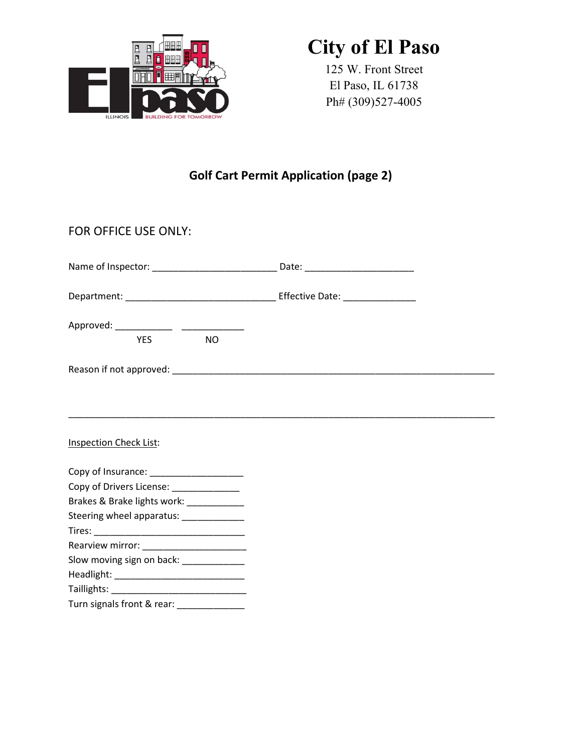

## City of El Paso

125 W. Front Street El Paso, IL 61738 Ph# (309)527-4005

### Golf Cart Permit Application (page 2)

| FOR OFFICE USE ONLY:                      |  |
|-------------------------------------------|--|
|                                           |  |
|                                           |  |
| <b>YES</b><br><b>NO</b>                   |  |
|                                           |  |
| <b>Inspection Check List:</b>             |  |
| Copy of Insurance: ______________________ |  |
| Copy of Drivers License: _____________    |  |
| Brakes & Brake lights work: ____________  |  |
| Steering wheel apparatus: _____________   |  |
|                                           |  |
|                                           |  |
| Slow moving sign on back: _____________   |  |
|                                           |  |
|                                           |  |
| Turn signals front & rear: ______________ |  |